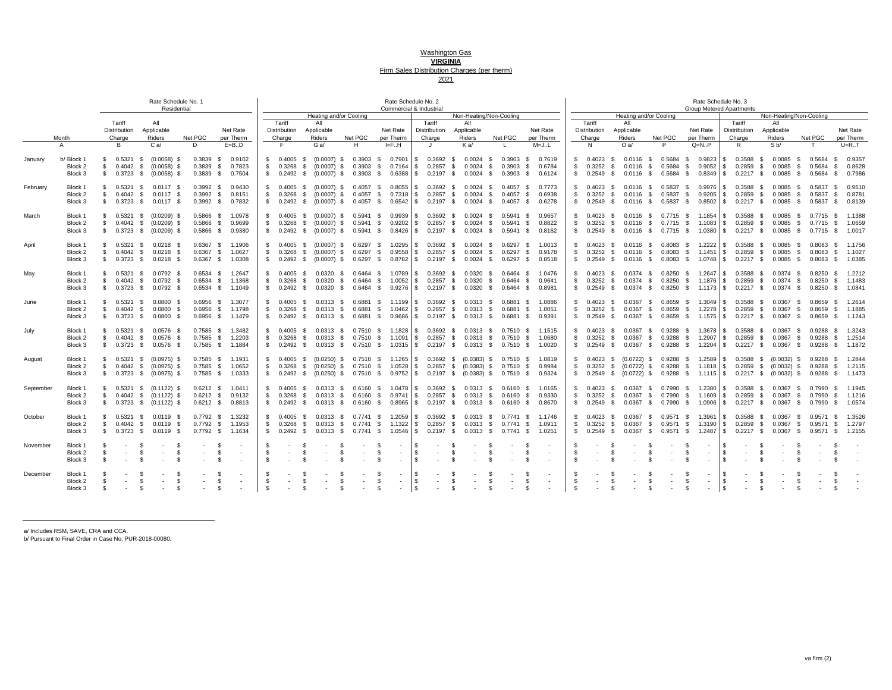#### Washington Gas **VIRGINIA** Firm Sales Distribution Charges (per therm) 2021

|           |                                          |                  |                                    | Rate Schedule No. 1                                                                         | Residential                  |                                           |                                                          |                                               |                                                                          |                                    |                                                     |                                                                                                               |                                            |                                 | Rate Schedule No. 2<br>Commercial & Industrial                                                                            |                              |                                                         |                                        |                                                         |                            |                                    |                                                                  |                                  |                                           | Rate Schedule No. 3                                                | <b>Group Metered Apartments</b>                                                             |                                                                 |                    |                                           |                                                          |
|-----------|------------------------------------------|------------------|------------------------------------|---------------------------------------------------------------------------------------------|------------------------------|-------------------------------------------|----------------------------------------------------------|-----------------------------------------------|--------------------------------------------------------------------------|------------------------------------|-----------------------------------------------------|---------------------------------------------------------------------------------------------------------------|--------------------------------------------|---------------------------------|---------------------------------------------------------------------------------------------------------------------------|------------------------------|---------------------------------------------------------|----------------------------------------|---------------------------------------------------------|----------------------------|------------------------------------|------------------------------------------------------------------|----------------------------------|-------------------------------------------|--------------------------------------------------------------------|---------------------------------------------------------------------------------------------|-----------------------------------------------------------------|--------------------|-------------------------------------------|----------------------------------------------------------|
|           |                                          |                  |                                    |                                                                                             |                              |                                           |                                                          |                                               |                                                                          |                                    |                                                     | Heating and/or Cooling                                                                                        |                                            |                                 |                                                                                                                           |                              |                                                         | Non-Heating/Non-Cooling                |                                                         |                            |                                    | Heating and/or Cooling                                           |                                  |                                           |                                                                    |                                                                                             | Non-Heating/Non-Cooling                                         |                    |                                           |                                                          |
|           |                                          |                  | Tariff                             | All                                                                                         |                              |                                           |                                                          |                                               | Tariff                                                                   | All                                |                                                     |                                                                                                               |                                            |                                 | Tariff                                                                                                                    | All                          |                                                         |                                        |                                                         |                            | Tariff                             | All                                                              |                                  |                                           |                                                                    | Tariff                                                                                      | All                                                             |                    |                                           |                                                          |
|           |                                          |                  | Distribution                       | Applicable                                                                                  |                              |                                           | Net Rate                                                 |                                               | <b>Distribution</b>                                                      | Applicable                         |                                                     |                                                                                                               | Net Rate                                   |                                 | Distribution                                                                                                              | Applicable                   |                                                         |                                        | Net Rate                                                |                            | <b>Distribution</b>                | Applicable                                                       |                                  |                                           | Net Rate                                                           | Distribution                                                                                | Applicable                                                      |                    |                                           | Net Rate                                                 |
|           | Month                                    |                  | Charge                             | Riders                                                                                      |                              | Net PGC                                   | per Therm                                                |                                               | Charge                                                                   | <b>Riders</b>                      |                                                     | Net PGC                                                                                                       | per Therm                                  |                                 | Charge                                                                                                                    | Riders                       |                                                         | Net PGC                                | per Therm                                               |                            | Charge                             | Riders                                                           | Net PGC                          |                                           | per Therm                                                          | Charge                                                                                      | Riders                                                          |                    | Net PGC                                   | per Therm                                                |
|           | $\mathsf{A}$                             |                  | <b>B</b>                           | $C$ a/                                                                                      |                              | D.                                        | $E=B.D$                                                  |                                               | E.                                                                       | G a/                               |                                                     | н                                                                                                             | IF.H                                       |                                 | $\mathbf{J}$                                                                                                              | K a/                         |                                                         |                                        | $M = J1$ .                                              |                            | N                                  | Oa/                                                              | P                                |                                           | $Q=N.P$                                                            | R.                                                                                          | S <sub>b</sub>                                                  |                    |                                           | $U=R_{\cdot}T$                                           |
| January   | b/ Block 1<br>Block 2                    | S.<br>\$         | 0.5321<br>0.4042                   | - \$<br>(0.0058)<br>\$ (0.0058)                                                             | - \$<br>- \$                 | $0.3839$ \$<br>$0.3839$ \$                | 0.9102<br>0.7823                                         |                                               | $$0.4005$ \$<br>\$0.3268                                                 |                                    | \$ (0.0007) \$                                      | $(0.0007)$ \$ 0.3903 \$<br>$0.3903$ \$                                                                        |                                            |                                 | 0.7901 \$ 0.3692<br>0.7164 \$ 0.2857 \$                                                                                   | - \$                         | $0.0024$ \$<br>$0.0024$ \$                              | 0.3903                                 | 0.7619<br>- S<br>0.3903 \$ 0.6784                       | S.                         | \$ 0.4023<br>0.3252                | $0.0116$ \$<br>- \$<br>S.<br>$0.0116$ \$                         | 0.5684<br>0.5684                 | - \$<br><b>S</b>                          | 0.9823<br>0.9052                                                   | 0.3588<br>IS.<br>l S                                                                        | $0.0085$ \$<br>S.<br>$0.2859$ \$ $0.0085$ \$                    |                    | 0.5684<br>0.5684                          | 0.9357<br>- S<br>$\mathbb{S}$<br>0.8628                  |
|           | Block <sub>3</sub>                       | S.               |                                    | $0.3723$ \$ $(0.0058)$ \$                                                                   |                              |                                           | 0.3839 \$ 0.7504                                         |                                               |                                                                          |                                    |                                                     | \$ 0.2492 \$ (0.0007) \$ 0.3903 \$                                                                            |                                            |                                 | 0.6388 \$ 0.2197 \$                                                                                                       |                              | $0.0024$ \$                                             |                                        | 0.3903 \$ 0.6124                                        |                            | $$0.2549$ \$                       | $0.0116$ \$                                                      |                                  | $0.5684$ \$                               | $0.8349$ \$                                                        | $0.2217$ \$                                                                                 | $0.0085$ \$                                                     |                    | 0.5684 \$                                 | 0.7986                                                   |
| February  | Block 1<br>Block 2<br>Block <sub>3</sub> | - \$<br>\$       | 0.4042                             | 0.5321 \$ 0.0117 \$<br><b>S</b><br>$0.0117$ \$<br>$$0.3723$$ \$ 0.0117 \$                   |                              | $0.3992$ \$<br>0.3992 S                   | 0.9430<br>0.8151<br>0.3992 \$ 0.7832                     | S.                                            | $$0.4005$ \$<br>$$0.2492$$ (0.0007) \$                                   |                                    | $(0.0007)$ \$<br>$0.3268$ \$ $(0.0007)$ \$          | $0.4057$ \$<br>$0.4057$ \$<br>$0.4057$ \$                                                                     |                                            | 0.8055<br>0.7318                | IS-<br>$0.3692$ \$<br>IS.<br>$0.2857$ \$<br>$0.6542$ \$ 0.2197 \$                                                         |                              | 0.0024<br>- S<br>0.0024<br><b>S</b><br>0.0024<br>- \$   | $0.4057$ \$<br>$0.4057$ \$             | 0.7773<br>0.6938<br>0.4057 \$ 0.6278                    | S.                         | \$0.4023<br>0.3252<br>\$0.2549     | S.<br>$0.0116$ \$<br>S.<br>$0.0116$ \$<br>\$ 0.0116 \$           | $0.5837$ \$                      | $0.5837$ \$<br>$0.5837$ \$                | 0.9976<br>$0.9205$ \$<br>0.8502                                    | l S<br>0.3588<br>$0.2859$ \$<br>$0.2217$ \$<br>IS.                                          | S.<br>0.0085<br>0.0085<br>0.0085                                | S.<br>- \$<br>- \$ | 0.5837<br>0.5837<br>0.5837 \$             | 0.9510<br>- S<br>0.8781<br>- \$<br>0.8139                |
| March     | Block 1<br>Block 2<br>Block 3            | - \$<br>\$<br>S. | $0.5321$ \$<br>0.4042              | $(0.0209)$ \$<br>\$ (0.0209) \$<br>$0.3723$ \$ $(0.0209)$ \$                                |                              | $0.5866$ \$<br>0.5866<br>$0.5866$ \$      | 1.0978<br>0.9699<br><b>S</b><br>0.9380                   | S.                                            | $$0.4005$ \$<br>$0.3268$ \$ $(0.0007)$ \$<br>$$0.2492$$ (0.0007) \$      |                                    | $(0.0007)$ \$                                       | 0.5941 S<br>$0.5941$ \$<br>$0.5941$ \$                                                                        |                                            | 0.9939<br>0.9202                | $\mathbf{s}$<br>0.3692<br>$0.2857$ \$<br>$\mathsf{S}$<br>$0.8426$ \$ 0.2197 \$                                            | <b>S</b>                     | 0.0024<br><b>S</b><br>0.0024<br><b>S</b><br>$0.0024$ \$ | $0.5941$ \$<br>0.5941 S<br>$0.5941$ \$ | 0.9657<br>0.8822<br>0.8162                              | S.                         | \$0.4023                           | S.<br>0.0116 \$<br>0.3252 \$ 0.0116 \$<br>\$ 0.2549 \$ 0.0116 \$ | $0.7715$ \$                      |                                           | 0.7715 \$ 1.1854<br>1.1083<br>0.7715 \$ 1.0380 \$                  | l S<br>0.3588<br>$0.2859$ \$<br>$\overline{\mathbf{s}}$<br>$0.2217$ \$                      | 0.0085<br>S.<br>0.0085<br>$0.0085$ \$                           | S.<br>- \$         | $0.7715$ \$<br>$0.7715$ \$<br>$0.7715$ \$ | 1.1388<br>1.0659<br>1.0017                               |
| April     | Block 1<br>Block 2<br>Block 3            | S.<br>\$<br>S.   | 0.5321<br>0.4042                   | $0.0218$ \$<br><b>S</b><br><b>S</b><br>$0.0218$ \$<br>0.3723 \$ 0.0218 \$                   |                              | 0.6367 S<br>$0.6367$ \$<br>$0.6367$ \$    | 1.1906<br>1.0627<br>1.0308                               | S.                                            | $0.4005$ \$<br>\$0.3268                                                  | - S                                | $(0.0007)$ \$<br>$(0.0007)$ \$                      | $0.6297$ \$<br>$0.6297$ \$<br>$$0.2492 \quad $ (0.0007) \quad $0.6297 \quad $$                                |                                            | 0.9558                          | 1.0295 \$ 0.3692 \$<br>$$0.2857$ \$<br>$0.8782$ \$ 0.2197 \$ 0.0024 \$                                                    |                              | $0.0024$ \$<br>$0.0024$ \$                              | $0.6297$ \$                            | 0.6297 \$ 1.0013<br>0.9178<br>0.6297 \$ 0.8518          | S.                         | $$0.3252$ \$                       | 0.4023 \$ 0.0116 \$<br>$0.0116$ \$                               |                                  |                                           | 0.8083 \$ 1.2222<br>0.8083 \$ 1.1451                               | l S<br>S .<br>$0.2859$ \$<br>\$ 0.2549 \$ 0.0116 \$ 0.8083 \$ 1.0748 \$ 0.2217 \$ 0.0085 \$ | 0.3588 \$ 0.0085 \$<br>$0.0085$ \$                              |                    | 0.8083<br>0.8083<br>$0.8083$ \$           | 1.1756<br>- \$<br>1.1027<br>- S<br>1.0385                |
| May       | Block 1<br>Block 2<br>Block <sub>3</sub> | -S.<br>\$<br>S.  | 0.4042<br>0.3723                   | 0.5321 \$ 0.0792 \$<br>- \$<br>0.0792<br><b>S</b><br>$0.0792$ \$                            | - \$                         | $0.6534$ \$<br>$0.6534$ \$                | 1.2647<br>1.1368<br>0.6534 \$ 1.1049                     | - \$                                          | $$0.4005$ \$<br>0.3268<br>\$ 0.2492 \$ 0.0320 \$                         | <b>S</b>                           | 0.0320<br><b>S</b><br>0.0320<br>- \$                | $0.6464$ \$<br>0.6464<br>$0.6464$ \$                                                                          | - \$                                       | 1.0789<br>1.0052<br>$0.9276$ \$ | $\mathbf{s}$<br>$0.3692$ \$<br>$0.2857$ \$<br><b>S</b><br>$0.2197$ \$                                                     |                              | 0.0320<br><b>S</b><br>0.0320<br>- \$<br>0.0320<br>- S   | $0.6464$ \$<br>$0.6464$ \$             | 0.6464 \$ 1.0476<br>0.9641<br>0.8981                    | S.                         | \$0.4023<br>0.3252<br>\$0.2549     | $0.0374$ \$<br>- S<br>S.<br>$0.0374$ \$<br>$0.0374$ \$<br>S.     |                                  |                                           | 0.8250 \$ 1.2647<br>$0.8250$ \$ 1.1876 \$<br>$0.8250$ \$ 1.1173 \$ | $\overline{\mathbf{s}}$<br>0.3588<br>0.2859<br>$0.2217$ \$                                  | $\mathbf{s}$<br>$0.0374$ \$<br>S.<br>$0.0374$ \$<br>$0.0374$ \$ |                    | 0.8250<br>0.8250<br>$0.8250$ \$           | 1.2212<br>- S<br>- S<br>1.1483<br>1.0841                 |
| June      | Block 1<br>Block 2<br>Block 3            | \$<br>\$<br>S.   | 0.5321<br>0.4042<br>$0.3723$ \$    | 0.0800<br>\$<br><b>S</b><br>0.0800<br>0.0800                                                | - \$<br>- \$<br>- \$         |                                           | 0.6956 \$ 1.3077<br>0.6956 \$ 1.1798<br>0.6956 \$ 1.1479 | \$                                            | $$0.4005$ \$ 0.0313<br>0.3268 \$ 0.0313 \$<br>$$0.2492$$ \$ 0.0313 \$    |                                    | \$                                                  | $0.6881$ \$<br>0.6881 \$<br>0.6881 \$                                                                         |                                            | 1.1199<br>0.9686                | $\sqrt{3}$<br>$0.3692 \quad $0.0313 \quad $$<br>1.0462 \$ 0.2857<br>$$0.2197$ \$                                          |                              | \$ 0.0313 \$<br>$0.0313$ \$                             | $0.6881$ \$<br>0.6881<br>0.6881 \$     | 1.0886<br>\$ 1.0051<br>0.9391                           | -S                         | \$0.4023                           | S.<br>0.0367<br>0.3252 \$ 0.0367 \$<br>\$ 0.2549 \$ 0.0367 \$    | \$<br>0.8659<br>0.8659           | <b>S</b><br>S.                            | 1.3049<br>$1.2278$ \$<br>$0.8659$ \$ 1.1575 \$                     | 0.3588<br>1S                                                                                | \$ 0.0367<br>0.2859 \$ 0.0367<br>0.2217 \$ 0.0367 \$            | <b>S</b><br>S.     | 0.8659<br>0.8659<br>0.8659 \$             | 1.2614<br>- \$<br>1.1885<br>- S<br>1.1243                |
| July      | Block 1<br>Block 2<br>Block <sub>3</sub> | - \$<br>\$<br>S. | 0.5321<br>0.4042<br>0.3723         | 0.0576<br>- \$<br>\$<br>0.0576<br>\$ 0.0576 \$                                              | - \$<br>- \$                 | $0.7585$ \$                               | 0.7585 \$ 1.3482<br>1.2203<br>0.7585 \$ 1.1884           | S.                                            | 0.4005 \$ 0.0313 \$<br>$$0.3268$$ \$ 0.0313 \$                           |                                    |                                                     | 0.7510 \$ 1.1828<br>$0.7510$ \$                                                                               |                                            | 1.1091                          | S 0.3692 S 0.0313 S<br>$\frac{1}{3}$ 0.2857 \$ 0.0313 \$<br>\$ 0.2492 \$ 0.0313 \$ 0.7510 \$ 1.0315 S 0.2197 \$ 0.0313 \$ |                              |                                                         | $0.7510$ \$                            | 0.7510 \$ 1.1515<br>1.0680<br>0.7510 \$ 1.0020          | -S<br>S.                   | 0.4023<br>0.3252                   | 0.0367<br>-S<br>S.<br>$0.0367$ \$<br>\$ 0.2549 \$ 0.0367 \$      | 0.9288<br>S.<br>0.9288           | - S<br><b>S</b>                           | 1.3678<br>1.2907<br>$0.9288$ \$ 1.2204 \$                          | IS.<br>l \$                                                                                 | 0.3588 \$ 0.0367<br>0.2859 \$ 0.0367 \$<br>0.2217 \$ 0.0367 \$  | - S                | 0.9288<br>0.9288<br>$0.9288$ \$           | 1.3243<br>- \$<br>- S<br>1.2514<br>1.1872                |
| August    | Block 1<br>Block 2<br>Block <sub>3</sub> | - \$<br>\$       |                                    | $0.5321$ \$ $(0.0975)$ \$<br>$0.4042 \quad $ (0.0975) \quad $$<br>$$0.3723$$ \$ (0.0975) \$ |                              | $0.7585$ \$                               | 1.1931<br>0.7585 \$ 1.0652<br>0.7585 \$ 1.0333           | S.                                            | $$0.4005$ \$                                                             |                                    |                                                     | $(0.0250)$ \$ 0.7510 \$<br>0.3268 \$ (0.0250) \$ 0.7510 \$<br>$$0.2492 \quad $0.0250) \quad $0.7510 \quad $$$ |                                            | 1.0528                          | 1.1265 \$ 0.3692 \$<br>$\mathsf{S}$<br>$0.2857$ \$ $(0.0383)$ \$<br>$0.9752$ \$ $0.2197$ \$ $(0.0383)$ \$                 |                              | $(0.0383)$ \$                                           | $0.7510$ \$<br>$0.7510$ \$             | 1.0819<br>0.9984<br>0.7510 \$ 0.9324                    | S.                         | \$0.4023\$<br>0.3252               | $(0.0722)$ \$<br>$(0.0722)$ \$<br>S.                             | 0.9288<br>0.9288                 | S.                                        | 1.2589<br>$$ 1.1818$ \S                                            | l S<br>0.3588<br>\$ 0.2549 \$ (0.0722) \$ 0.9288 \$ 1.1115 \$ 0.2217 \$ (0.0032) \$         | $(0.0032)$ \$<br>S.<br>$0.2859$ \$ $(0.0032)$ \$                |                    | 0.9288<br>0.9288<br>$0.9288$ \$           | 1.2844<br>- S<br>1.2115<br>- S<br>1.1473                 |
| September | Block 1<br>Block 2<br>Block 3            | \$<br>\$<br>S.   | 0.4042                             | $0.5321 \quad $ (0.1122) \quad $$<br>\$ (0.1122) \$<br>$0.3723$ \$ $(0.1122)$ \$            |                              | $0.6212$ \$<br>$0.6212$ \$                | 0.6212 \$ 1.0411<br>0.9132<br>0.8813                     | \$                                            | $$0.4005$ \$ 0.0313 \$<br>0.3268 \$ 0.0313 \$<br>$$0.2492$$ \$ 0.0313 \$ |                                    |                                                     | 0.6160 S<br>$0.6160$ \$<br>$0.6160$ \$                                                                        |                                            | 1.0478                          | IS-<br>$0.3692$ \$<br>$0.9741$ \$ 0.2857 \$<br>$0.8965$ \$ $0.2197$ \$                                                    |                              | $0.0313$ \$<br>$0.0313$ \$<br>$0.0313$ \$               | 0.6160 S<br>0.6160 \$                  | 0.6160 \$ 1.0165<br>0.9330<br>0.8670                    | S.                         | \$0.4023<br>0.3252<br>$$0.2549$ \$ | \$ 0.0367<br>$$0.0367$ \$<br>$0.0367$ \$                         | 0.7990<br>S.<br>0.7990<br>0.7990 | <b>S</b><br>S.                            | \$ 1.2380<br>1.1609 \$<br>$1.0906$ \$                              | l S<br>0.3588<br>$0.2217$ \$                                                                | 0.0367<br>S.<br>0.2859 \$ 0.0367<br>$0.0367$ \$                 | S.<br><b>S</b>     | 0.7990<br>0.7990<br>0.7990                | - S<br>1.1945<br>1.1216<br>- S<br>1.0574<br>$\mathbf{s}$ |
| October   | Block 1<br>Block 2<br>Block 3            | - \$<br>\$<br>S. | 0.5321<br>- \$<br>0.4042<br>0.3723 | 0.0119<br><b>S</b><br>0.0119<br>- \$<br>0.0119                                              | - \$<br>\$<br>- \$           | $0.7792$ \$<br>$0.7792$ \$<br>$0.7792$ \$ | 1.3232<br>1.1953<br>1.1634                               | \$<br>S.                                      | $0.4005$ \$<br>0.3268<br>\$ 0.2492 \$                                    | <b>S</b>                           | 0.0313<br>- \$<br>0.0313<br><b>S</b><br>$0.0313$ \$ | $0.7741$ \$<br>0.7741 S<br>$0.7741$ \$                                                                        |                                            | 1.2059<br>1.1322<br>$1.0546$ \$ | $\mathsf{S}$<br>0.3692<br>IS.<br>$0.2857$ \$<br>$0.2197$ \$                                                               | <b>S</b>                     | 0.0313<br><b>S</b><br><b>S</b><br>0.0313<br>$0.0313$ \$ | $0.7741$ \$<br>$0.7741$ \$             | 0.7741 \$ 1.1746<br>1.0911<br>1.0251                    | S.<br>-S<br>S.             | 0.4023<br>0.3252<br>$0.2549$ \$    | - \$<br>0.0367<br>-S<br>0.0367<br>0.0367                         | - \$<br>-S<br>S.                 | $0.9571$ \$<br>$0.9571$ \$<br>$0.9571$ \$ | 1.3961<br>1.3190<br>$1.2487$ \$                                    | l S<br>0.3588<br>l S<br>0.2859<br>$0.2217$ \$                                               | S.<br>0.0367<br>S.<br>0.0367<br>0.0367                          | - S<br>S.<br>- \$  | 0.9571<br>$0.9571$ \$<br>$0.9571$ \$      | 1.3526<br>- \$<br>1.2797<br>1.2155                       |
| November  | Block 1<br>Block 2<br>Block <sub>3</sub> | \$<br>-S         | - \$<br>$\sim$<br>$\mathcal{F}$    |                                                                                             | - \$<br>- \$                 |                                           | - \$<br>-S<br>$\sim$<br>\$.                              | $\mathbf{\mathfrak{F}}$<br>-S<br>$\mathbf{s}$ |                                                                          | - \$<br>- \$<br>$\mathbf{\hat{s}}$ | - \$                                                |                                                                                                               | -S<br>\$<br>$\mathbf{\hat{s}}$             | $\sim$<br>$\sim$<br>$\sim$      | l \$<br><b>S</b><br><b>S</b>                                                                                              | - \$<br>- \$<br>$\mathbf{s}$ | -S                                                      |                                        | - \$<br>$\sim$<br>-S<br>$\sim$<br>$\sim$                | - \$<br>-S<br>$\mathbf{s}$ | - S                                | -S                                                               | -S<br>S<br>S.                    | - \$<br>-S<br>$\mathbf{s}$                | $\overline{\phantom{a}}$<br>$\sim$<br>$\sim$                       | -S<br>-S<br>$\mathbf{S}$                                                                    | - \$<br>-S<br>\$.                                               | - \$               |                                           | -S                                                       |
| December  | Block 1<br>Block 2<br>Block 3            | -S<br>- \$<br>-8 | - \$<br>$\mathbf{s}$<br>. ድ        |                                                                                             | - \$<br>$\mathbf{s}$<br>- \$ | $\sim$                                    | -S<br>$\sim$<br>- \$<br>$\sim$<br>£.                     | -\$<br><b>S</b><br>\$                         |                                                                          | - \$<br>$\mathbf{\hat{s}}$<br>- \$ | -S<br>$\mathbf{s}$<br>- \$                          |                                                                                                               | - \$<br>$\mathbf{s}$<br>$\mathbf{\hat{s}}$ | $\sim$<br>$\sim$<br>$\sim$      | l \$<br><b>S</b><br><b>1999</b><br><b>S</b>                                                                               | \$<br>$\mathfrak{L}$<br>\$   | S<br>£.<br>$\mathfrak{L}$                               | $\sim$                                 | \$<br><b>1999</b><br>$\mathbf{s}$<br><b>1999</b><br>\$. | \$<br>-S<br>\$             | - \$<br>$\mathbf{s}$<br>- \$       |                                                                  | S<br>$\mathbf{s}$<br>- 96        | -S<br>-S<br>- \$                          | $\sim$<br>$\sim$                                                   | l \$<br>l s<br>$\sim$<br>l s                                                                | -S<br>$\mathbf{s}$<br>$\mathbf{R}$                              | S.<br>-96          |                                           | \$.<br>\$.<br>£.                                         |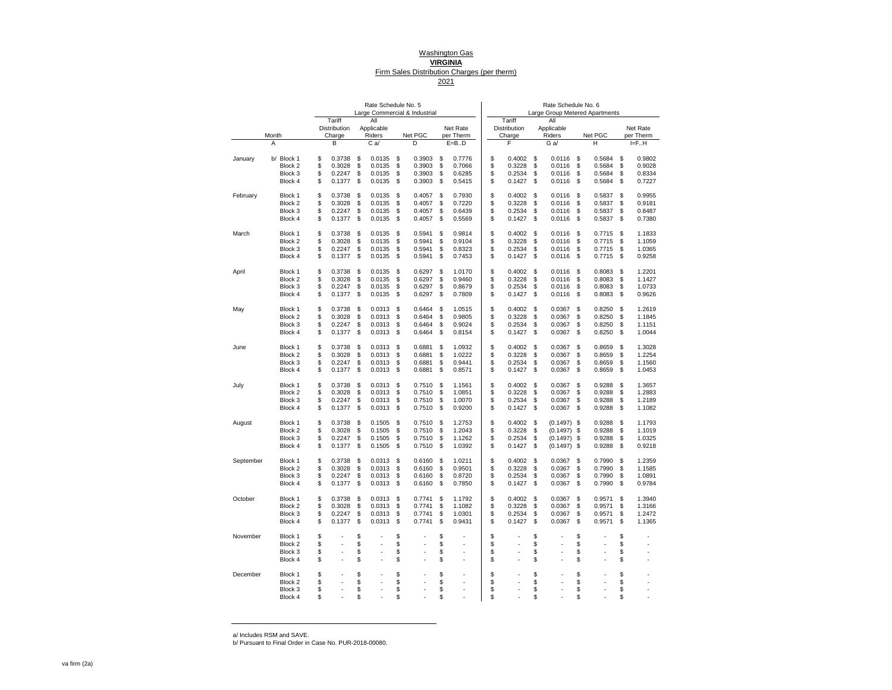#### Washington Gas **VIRGINIA** Firm Sales Distribution Charges (per therm) 2021

|           |                    |                        | Rate Schedule No. 5 |    | Large Commercial & Industrial |    |           |                        | Rate Schedule No. 6 |     | Large Group Metered Apartments |    |           |
|-----------|--------------------|------------------------|---------------------|----|-------------------------------|----|-----------|------------------------|---------------------|-----|--------------------------------|----|-----------|
|           |                    | Tariff<br>Distribution | All<br>Applicable   |    |                               |    | Net Rate  | Tariff<br>Distribution | All<br>Applicable   |     |                                |    | Net Rate  |
|           | Month              | Charge                 | Riders              |    | Net PGC                       |    | per Therm | Charge                 | Riders              |     | Net PGC                        |    | per Therm |
|           | Α                  | В                      | Ca                  |    | D                             |    | E=BD      | F                      | G a/                |     | н                              |    | IF.H      |
| January   | Block 1<br>b/      | \$<br>0.3738           | \$<br>0.0135        | \$ | 0.3903                        | \$ | 0.7776    | \$<br>0.4002           | \$<br>0.0116        | \$  | 0.5684                         | \$ | 0.9802    |
|           | Block 2            | \$<br>0.3028           | \$<br>0.0135        | \$ | 0.3903                        | \$ | 0.7066    | \$<br>0.3228           | \$<br>0.0116        | \$  | 0.5684                         | \$ | 0.9028    |
|           | Block 3            | \$<br>0.2247           | \$<br>0.0135        | \$ | 0.3903                        | \$ | 0.6285    | \$<br>0.2534           | \$<br>0.0116        | \$  | 0.5684                         | \$ | 0.8334    |
|           | Block 4            | \$<br>0.1377           | \$<br>0.0135        | \$ | 0.3903                        | \$ | 0.5415    | \$<br>0.1427           | \$<br>0.0116        | \$  | 0.5684                         | \$ | 0.7227    |
| February  | Block 1            | \$<br>0.3738           | \$<br>0.0135        | S  | 0.4057                        | S  | 0.7930    | \$<br>0.4002           | \$<br>0.0116        | \$  | 0.5837                         | \$ | 0.9955    |
|           | Block 2            | \$<br>0.3028           | \$<br>0.0135        | \$ | 0.4057                        | \$ | 0.7220    | \$<br>0.3228           | \$<br>0.0116        | \$  | 0.5837                         | \$ | 0.9181    |
|           | Block 3            | \$<br>0.2247           | \$<br>0.0135        | \$ | 0.4057                        | \$ | 0.6439    | \$<br>0.2534           | \$<br>0.0116        | \$  | 0.5837                         | \$ | 0.8487    |
|           | Block 4            | \$<br>0.1377           | \$<br>0.0135        | \$ | 0.4057                        | \$ | 0.5569    | \$<br>0.1427           | \$<br>0.0116        | \$  | 0.5837                         | \$ | 0.7380    |
| March     | Block 1            | \$<br>0.3738           | \$<br>0.0135        | S  | 0.5941                        | S  | 0.9814    | \$<br>0.4002           | \$<br>0.0116        | \$  | 0.7715                         | S  | 1.1833    |
|           | Block 2            | \$<br>0.3028           | \$<br>0.0135        | \$ | 0.5941                        | \$ | 0.9104    | \$<br>0.3228           | \$<br>0.0116        | \$  | 0.7715                         | \$ | 1.1059    |
|           | Block 3            | \$<br>0.2247           | \$<br>0.0135        | \$ | 0.5941                        | \$ | 0.8323    | \$<br>0.2534           | \$<br>0.0116        | \$  | 0.7715                         | \$ | 1.0365    |
|           | Block 4            | \$<br>0.1377           | \$<br>0.0135        | \$ | 0.5941                        | \$ | 0.7453    | \$<br>0.1427           | \$<br>0.0116        | \$  | 0.7715                         | \$ | 0.9258    |
| April     | Block 1            | \$<br>0.3738           | \$<br>0.0135        | \$ | 0.6297                        | \$ | 1.0170    | \$<br>0.4002           | \$<br>0.0116        | \$  | 0.8083                         | \$ | 1.2201    |
|           | Block 2            | \$<br>0.3028           | \$<br>0.0135        | \$ | 0.6297                        | S  | 0.9460    | \$<br>0.3228           | \$<br>0.0116        | \$  | 0.8083                         | S  | 1.1427    |
|           | Block 3            | \$<br>0.2247           | \$<br>0.0135        | \$ | 0.6297                        | \$ | 0.8679    | \$<br>0.2534           | \$<br>0.0116        | \$  | 0.8083                         | \$ | 1.0733    |
|           | Block 4            | \$<br>0.1377           | \$<br>0.0135        | S  | 0.6297                        | \$ | 0.7809    | \$<br>0.1427           | \$<br>0.0116        | \$  | 0.8083                         | \$ | 0.9626    |
| May       | Block 1            | \$<br>0.3738           | \$<br>0.0313        | S  | 0.6464                        | \$ | 1.0515    | \$<br>0.4002           | \$<br>0.0367        | \$  | 0.8250                         | \$ | 1.2619    |
|           | Block 2            | \$<br>0.3028           | \$<br>0.0313        | \$ | 0.6464                        | \$ | 0.9805    | \$<br>0.3228           | \$<br>0.0367        | \$  | 0.8250                         | \$ | 1.1845    |
|           | Block 3            | \$<br>0.2247           | \$<br>0.0313        | S  | 0.6464                        | \$ | 0.9024    | \$<br>0.2534           | \$<br>0.0367        | \$  | 0.8250                         | \$ | 1.1151    |
|           | Block 4            | \$<br>0.1377           | \$<br>0.0313        | \$ | 0.6464                        | \$ | 0.8154    | \$<br>0.1427           | \$<br>0.0367        | \$  | 0.8250                         | \$ | 1.0044    |
| June      | Block 1            | \$<br>0.3738           | \$<br>0.0313        | \$ | 0.6881                        | \$ | 1.0932    | \$<br>0.4002           | \$<br>0.0367        | \$  | 0.8659                         | \$ | 1.3028    |
|           | Block 2            | \$<br>0.3028           | \$<br>0.0313        | \$ | 0.6881                        | \$ | 1.0222    | \$<br>0.3228           | \$<br>0.0367        | \$  | 0.8659                         | \$ | 1.2254    |
|           | Block 3            | \$<br>0.2247           | \$<br>0.0313        | \$ | 0.6881                        | \$ | 0.9441    | \$<br>0.2534           | \$<br>0.0367        | \$  | 0.8659                         | \$ | 1.1560    |
|           | Block 4            | \$<br>0.1377           | \$<br>0.0313        | S  | 0.6881                        | S  | 0.8571    | \$<br>0.1427           | \$<br>0.0367        | \$  | 0.8659                         | \$ | 1.0453    |
| July      | Block 1            | \$<br>0.3738           | \$<br>0.0313        | \$ | 0.7510                        | \$ | 1.1561    | \$<br>0.4002           | \$<br>0.0367        | \$  | 0.9288                         | \$ | 1.3657    |
|           | Block 2            | \$<br>0.3028           | \$<br>0.0313        | \$ | 0.7510                        | \$ | 1.0851    | \$<br>0.3228           | \$<br>0.0367        | \$  | 0.9288                         | \$ | 1.2883    |
|           | Block 3            | \$<br>0.2247           | \$<br>0.0313        | \$ | 0.7510                        | \$ | 1.0070    | \$<br>0.2534           | \$<br>0.0367        | \$  | 0.9288                         | \$ | 1.2189    |
|           | Block 4            | \$<br>0.1377           | \$<br>0.0313        | \$ | 0.7510                        | \$ | 0.9200    | \$<br>0.1427           | \$<br>0.0367        | \$  | 0.9288                         | \$ | 1.1082    |
| August    | Block 1            | \$<br>0.3738           | \$<br>0.1505        | S  | 0.7510                        | S  | 1.2753    | \$<br>0.4002           | \$<br>(0.1497)      | -\$ | 0.9288                         | \$ | 1.1793    |
|           | Block 2            | \$<br>0.3028           | \$<br>0.1505        | \$ | 0.7510                        | \$ | 1.2043    | \$<br>0.3228           | \$<br>(0.1497)      | \$  | 0.9288                         | \$ | 1.1019    |
|           | Block 3            | \$<br>0.2247           | \$<br>0.1505        | \$ | 0.7510                        | \$ | 1.1262    | \$<br>0.2534           | \$<br>(0.1497)      | \$  | 0.9288                         | \$ | 1.0325    |
|           | Block 4            | \$<br>0.1377           | \$<br>0.1505        | \$ | 0.7510                        | \$ | 1.0392    | \$<br>0.1427           | \$<br>(0.1497)      | \$  | 0.9288                         | \$ | 0.9218    |
| September | Block 1            | \$<br>0.3738           | \$<br>0.0313        | \$ | 0.6160                        | \$ | 1.0211    | \$<br>0.4002           | \$<br>0.0367        | \$  | 0.7990                         | \$ | 1.2359    |
|           | Block <sub>2</sub> | \$<br>0.3028           | \$<br>0.0313        | S  | 0.6160                        | S  | 0.9501    | \$<br>0.3228           | \$<br>0.0367        | \$  | 0.7990                         | \$ | 1.1585    |
|           | Block 3            | \$<br>0.2247           | \$<br>0.0313        | \$ | 0.6160                        | \$ | 0.8720    | \$<br>0.2534           | \$<br>0.0367        | \$  | 0.7990                         | \$ | 1.0891    |
|           | Block 4            | \$<br>0.1377           | \$<br>0.0313        | \$ | 0.6160                        | \$ | 0.7850    | \$<br>0.1427           | \$<br>0.0367        | \$  | 0.7990                         | \$ | 0.9784    |
| October   | Block 1            | \$<br>0.3738           | \$<br>0.0313        | \$ | 0.7741                        | \$ | 1.1792    | \$<br>0.4002           | \$<br>0.0367        | \$  | 0.9571                         | \$ | 1.3940    |
|           | Block 2            | \$<br>0.3028           | \$<br>0.0313        | \$ | 0.7741                        | \$ | 1.1082    | \$<br>0.3228           | \$<br>0.0367        | \$  | 0.9571                         | \$ | 1.3166    |
|           | Block 3            | \$<br>0.2247           | \$<br>0.0313        | \$ | 0.7741                        | \$ | 1.0301    | \$<br>0.2534           | \$<br>0.0367        | \$  | 0.9571                         | \$ | 1.2472    |
|           | Block 4            | \$<br>0.1377           | \$<br>0.0313        | \$ | 0.7741                        | \$ | 0.9431    | \$<br>0.1427           | \$<br>0.0367        | \$  | 0.9571                         | \$ | 1.1365    |
| November  | Block 1            | \$                     | \$<br>ä,            | \$ |                               | \$ |           | \$                     | \$                  | \$  |                                | \$ |           |
|           | Block 2            | \$                     | \$<br>ä,            | \$ |                               | \$ | ä,        | \$                     | \$                  | \$  |                                | \$ |           |
|           | Block 3            | \$                     | \$                  | \$ |                               | \$ |           | \$                     | \$                  | \$  |                                | \$ |           |
|           | Block 4            | \$                     | \$                  | \$ |                               | \$ |           | \$                     | \$                  | \$  |                                | \$ |           |
| December  | Block 1            | \$                     | \$                  | \$ |                               | \$ |           | \$                     | \$                  | \$  |                                | \$ |           |
|           | Block 2            | \$                     | \$                  | \$ |                               | \$ |           | \$                     | \$                  | \$  |                                | \$ |           |
|           | Block 3            | \$                     | \$                  | \$ |                               | \$ |           | \$                     | \$                  | \$  |                                | \$ |           |
|           | Block 4            | \$                     | \$                  |    |                               | S  |           | \$                     | \$                  | \$  |                                | \$ |           |

a/ Includes RSM and SAVE.

b/ Pursuant to Final Order in Case No. PUR-2018-00080.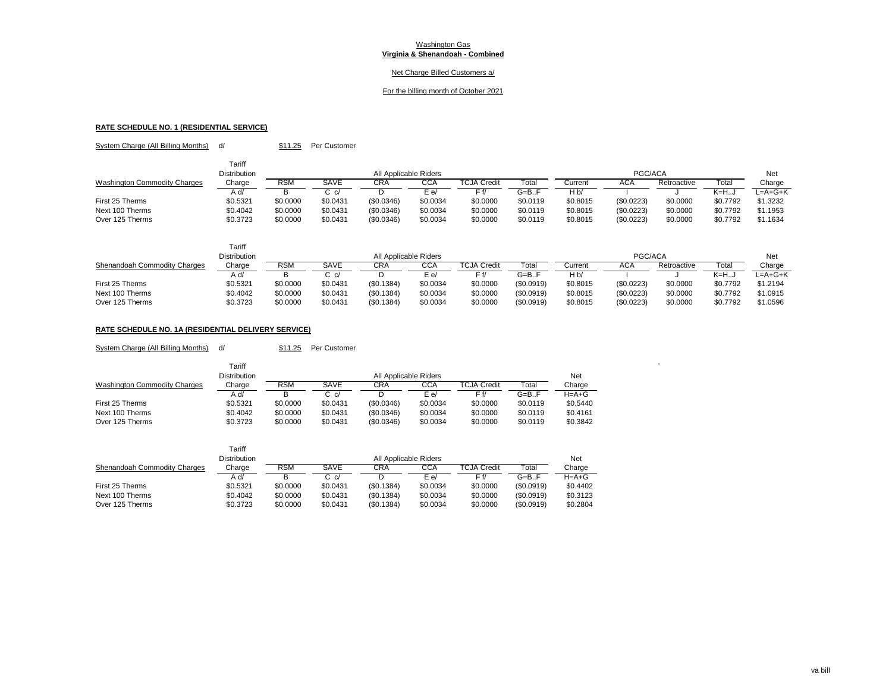## Net Charge Billed Customers a/

#### For the billing month of October 2021

# **RATE SCHEDULE NO. 1 (RESIDENTIAL SERVICE)**

System Charge (All Billing Months) d/ \$11.25 Per Customer

|                                     | Tariff              |            |             |                       |          |                         |           |                |            |             |          |           |
|-------------------------------------|---------------------|------------|-------------|-----------------------|----------|-------------------------|-----------|----------------|------------|-------------|----------|-----------|
|                                     | <b>Distribution</b> |            |             | All Applicable Riders |          |                         |           |                | PGC/ACA    |             |          | Net       |
| <b>Washington Commodity Charges</b> | Charge              | <b>RSM</b> | <b>SAVE</b> | CRA                   | CCA      | TCJA Credi <sup>.</sup> | Total     | Current        | ACA        | Retroactive | Total    | Charge    |
|                                     | /A d                |            | ان ت        |                       | E e/     | F f/                    | $G = B.F$ | H <sub>b</sub> |            |             | $K=HJ$   | $L=A+G+K$ |
| First 25 Therms                     | \$0.5321            | \$0.0000   | \$0.0431    | (S0.0346)             | \$0.0034 | \$0.0000                | \$0.0119  | \$0.8015       | (\$0.0223) | \$0.0000    | \$0.7792 | \$1.3232  |
| Next 100 Therms                     | \$0.4042            | \$0.0000   | \$0.0431    | (\$0.0346)            | \$0.0034 | \$0.0000                | \$0.0119  | \$0.8015       | (\$0.0223) | \$0.0000    | \$0.7792 | \$1.1953  |
| Over 125 Therms                     | \$0.3723            | \$0.0000   | \$0.0431    | (\$0.0346)            | \$0.0034 | \$0.0000                | \$0.0119  | \$0.8015       | (\$0.0223) | \$0.0000    | \$0.7792 | \$1.1634  |

|                              | Tariff              |            |          |                       |          |                    |            |          |            |             |          |          |
|------------------------------|---------------------|------------|----------|-----------------------|----------|--------------------|------------|----------|------------|-------------|----------|----------|
|                              | <b>Distribution</b> |            |          | All Applicable Riders |          |                    |            |          | PGC/ACA    |             |          | Net      |
| Shenandoah Commodity Charges | Charge              | <b>RSM</b> | SAVE     | CRA                   | CCA      | <b>TCJA Credit</b> | Total      | Current  | AUA        | Retroactive | Total    | Charge   |
|                              | /b A                |            |          |                       | ∃ e/     |                    | $G=$ B.F   | H b/     |            |             | K=HJ     | L=A+G+K  |
| First 25 Therms              | \$0.5321            | \$0,0000   | \$0.0431 | (S0.1384)             | \$0.0034 | \$0.0000           | (S0.0919)  | \$0.8015 | (\$0.0223) | \$0.0000    | \$0.7792 | \$1.2194 |
| Next 100 Therms              | \$0.4042            | \$0,0000   | \$0.0431 | (\$0.1384)            | \$0.0034 | \$0.0000           | (S0.0919)  | \$0.8015 | (\$0.0223) | \$0.0000    | \$0.7792 | \$1.0915 |
| Over 125 Therms              | \$0.3723            | \$0,0000   | \$0.0431 | (\$0.1384)            | \$0.0034 | \$0.0000           | (\$0.0919] | \$0.8015 | (\$0.0223) | \$0.0000    | \$0.7792 | \$1.0596 |

# **RATE SCHEDULE NO. 1A (RESIDENTIAL DELIVERY SERVICE)**

System Charge (All Billing Months) d/ \$11.25 Per Customer

|                                     | Tariff              |            |          |                       |            |                    |                 |          |
|-------------------------------------|---------------------|------------|----------|-----------------------|------------|--------------------|-----------------|----------|
|                                     | <b>Distribution</b> |            |          | All Applicable Riders |            |                    |                 | Net      |
| <b>Washington Commodity Charges</b> | Charge              | <b>RSM</b> | SAVE     | CRA                   | <b>CCA</b> | <b>TCJA Credit</b> | Total           | Charge   |
|                                     | A d/                |            | 3 c/     |                       | E e/       |                    | $G = B \dots F$ | H=A+G    |
| First 25 Therms                     | \$0.5321            | \$0.0000   | \$0.0431 | (\$0.0346)            | \$0.0034   | \$0.0000           | \$0.0119        | \$0.5440 |
| Next 100 Therms                     | \$0.4042            | \$0.0000   | \$0.0431 | (\$0.0346)            | \$0.0034   | \$0.0000           | \$0.0119        | \$0.4161 |
| Over 125 Therms                     | \$0.3723            | \$0.0000   | \$0.0431 | (\$0.0346)            | \$0.0034   | \$0.0000           | \$0.0119        | \$0.3842 |

|                              | Tariff<br>Distribution |          |          | All Applicable Riders |          |             |                   | Net         |
|------------------------------|------------------------|----------|----------|-----------------------|----------|-------------|-------------------|-------------|
| Shenandoah Commodity Charges | Charge                 | RSM      | SAVE     | CRA                   | CCA      | TCJA Credit | <sup>-</sup> otal | Charge      |
|                              | A d/                   | в        | C c/     |                       | E e/     | F f/        | $G = B \cdot F$   | $H = A + G$ |
| First 25 Therms              | \$0.5321               | \$0,0000 | \$0.0431 | (S0.1384)             | \$0.0034 | \$0,0000    | (S0.0919)         | \$0.4402    |
| Next 100 Therms              | \$0.4042               | \$0.0000 | \$0.0431 | (S0.1384)             | \$0.0034 | \$0,0000    | (S0.0919)         | \$0.3123    |
| Over 125 Therms              | \$0.3723               | \$0.0000 | \$0.0431 | (S0.1384)             | \$0.0034 | \$0.0000    | (S0.0919)         | \$0.2804    |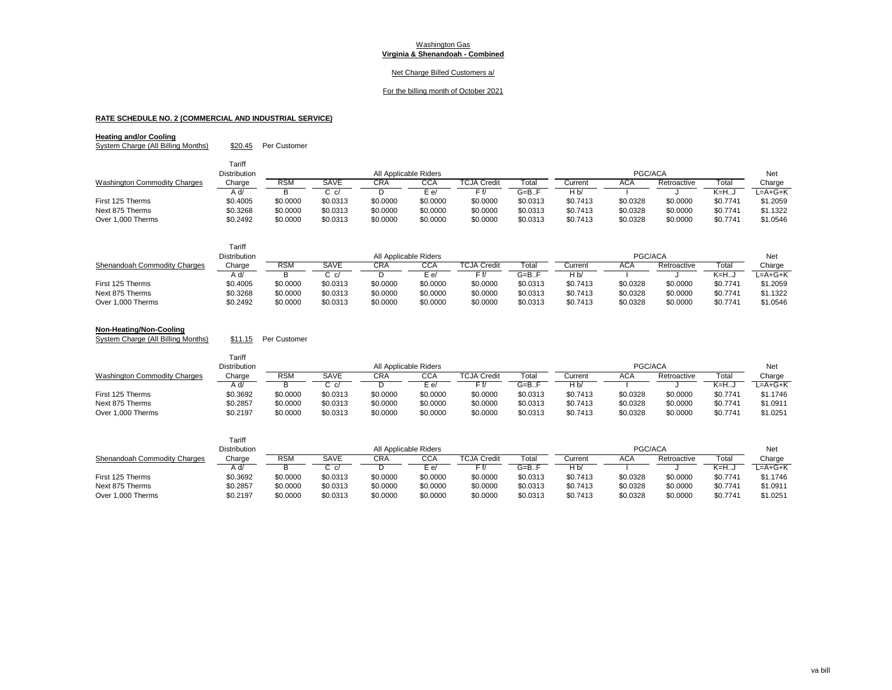## Net Charge Billed Customers a/

#### For the billing month of October 2021

# **RATE SCHEDULE NO. 2 (COMMERCIAL AND INDUSTRIAL SERVICE)**

## **Heating and/or Cooling**

System Charge (All Billing Months) \$20.45 Per Customer

|                                     | Tariff       |            |                      |                       |          |                    |                 |          |          |             |          |           |
|-------------------------------------|--------------|------------|----------------------|-----------------------|----------|--------------------|-----------------|----------|----------|-------------|----------|-----------|
|                                     | Distribution |            |                      | All Applicable Riders |          |                    |                 |          | PGC/ACA  |             |          | Net       |
| <b>Washington Commodity Charges</b> | Charge       | <b>RSM</b> | SAVE                 | <b>CRA</b>            | CCA      | <b>TCJA Credit</b> | Total           | Current  | ACA      | Retroactive | Total    | Charge    |
|                                     | /A d         |            | $\sim$ $\sim$ $\sim$ |                       | E e/     | Ff/                | $G = B \dots F$ | H b/     |          |             | K=HJ     | $L=A+G+K$ |
| First 125 Therms                    | \$0.4005     | \$0.0000   | \$0.0313             | \$0.0000              | \$0.0000 | \$0.0000           | \$0.0313        | \$0.7413 | \$0.0328 | \$0.0000    | \$0.7741 | \$1,2059  |
| Next 875 Therms                     | \$0.3268     | \$0.0000   | \$0.0313             | \$0.0000              | \$0.0000 | \$0.0000           | \$0.0313        | \$0.7413 | \$0.0328 | \$0.0000    | \$0.7741 | \$1.1322  |
| Over 1.000 Therms                   | \$0.2492     | \$0.0000   | \$0.0313             | \$0.0000              | \$0.0000 | \$0.0000           | \$0.0313        | \$0.7413 | \$0.0328 | \$0,0000    | \$0.7741 | \$1.0546  |

|                              | Tariff              |            |          |                       |          |                    |          |          |            |             |          |          |
|------------------------------|---------------------|------------|----------|-----------------------|----------|--------------------|----------|----------|------------|-------------|----------|----------|
|                              | <b>Distribution</b> |            |          | All Applicable Riders |          |                    |          |          | PGC/ACA    |             |          | Net      |
| Shenandoah Commodity Charges | Charge              | <b>RSM</b> | SAVE     | CRA                   | CCA      | <b>TCJA Credit</b> | Total    | Current  | <b>ACA</b> | Retroactive | Total    | Charge   |
|                              | A d/                |            |          |                       | E e/     | = f/               | G=B.F    | H b/     |            |             | K=H…J    | L=A+G+K  |
| First 125 Therms             | \$0.4005            | \$0.0000   | \$0.0313 | \$0.0000              | \$0.0000 | \$0.0000           | \$0.0313 | \$0.7413 | \$0.0328   | \$0,0000    | \$0.7741 | \$1.2059 |
| Next 875 Therms              | \$0.3268            | \$0.0000   | \$0.0313 | \$0.0000              | \$0.0000 | \$0.0000           | \$0.0313 | \$0.7413 | \$0.0328   | \$0.0000    | \$0.7741 | \$1.1322 |
| Over 1,000 Therms            | \$0.2492            | \$0.0000   | \$0.0313 | \$0.0000              | \$0.0000 | \$0.0000           | \$0.0313 | \$0.7413 | \$0.0328   | \$0.0000    | \$0.7741 | \$1.0546 |

#### **Non-Heating/Non-Cooling**

System Charge (All Billing Months) \$11.15 Per Customer

|                                     | Tariff              |            |               |                       |          |                    |                 |                |          |             |          |          |
|-------------------------------------|---------------------|------------|---------------|-----------------------|----------|--------------------|-----------------|----------------|----------|-------------|----------|----------|
|                                     | <b>Distribution</b> |            |               | All Applicable Riders |          |                    |                 |                | PGC/ACA  |             |          | Net      |
| <b>Washington Commodity Charges</b> | Charge              | <b>RSM</b> | SAVE          | CRA                   | CCA      | <b>TCJA Credit</b> | Total           | Current        | ACA      | Retroactive | Total    | Charge   |
|                                     | A d/                |            | $\sim$ $\sim$ |                       | E e/     | r f/               | $G = B \cdot F$ | H <sub>b</sub> |          |             | K=H…J    | L=A+G+K  |
| First 125 Therms                    | \$0.3692            | \$0,0000   | \$0.0313      | \$0.0000              | \$0.0000 | \$0.0000           | \$0.0313        | \$0.7413       | \$0.0328 | \$0.0000    | \$0.7741 | \$1.1746 |
| Next 875 Therms                     | \$0.2857            | \$0.0000   | \$0.0313      | \$0.0000              | \$0.0000 | \$0.0000           | \$0.0313        | \$0.7413       | \$0.0328 | \$0.0000    | \$0.7741 | \$1.0911 |
| Over 1.000 Therms                   | \$0.2197            | \$0.0000   | \$0.0313      | \$0.0000              | \$0.0000 | \$0.0000           | \$0.0313        | \$0.7413       | \$0.0328 | \$0.0000    | \$0.7741 | \$1.0251 |

|                              | Tariff              |            |          |            |                       |                    |                 |          |            |             |          |          |
|------------------------------|---------------------|------------|----------|------------|-----------------------|--------------------|-----------------|----------|------------|-------------|----------|----------|
|                              | <b>Distribution</b> |            |          |            | All Applicable Riders |                    |                 |          | PGC/ACA    |             |          | Net      |
| Shenandoah Commodity Charges | Charge              | <b>RSM</b> | SAVE     | <b>CRA</b> | CCA                   | <b>TCJA Credit</b> | Tota.           | Current  | <b>ACA</b> | Retroactive | Tota.    | Charge   |
|                              | d/                  |            |          |            | E e/                  |                    | $G = B \cdot F$ |          |            |             | – K=H…   | _=A+G+K  |
| First 125 Therms             | \$0.3692            | \$0.0000   | \$0.0313 | \$0.0000   | \$0.0000              | \$0.0000           | \$0.0313        | \$0.7413 | \$0.0328   | \$0.0000    | \$0.7741 | \$1.1746 |
| Next 875 Therms              | \$0.2857            | \$0.0000   | \$0.0313 | \$0.0000   | \$0.0000              | \$0.0000           | \$0.0313        | \$0.7413 | \$0.0328   | \$0.0000    | \$0.7741 | \$1.0911 |
| Over 1,000 Therms            | \$0.2197            | \$0.0000   | \$0.0313 | \$0.0000   | \$0.0000              | \$0.0000           | \$0.0313        | \$0.7413 | \$0.0328   | \$0.0000    | \$0.7741 | \$1.0251 |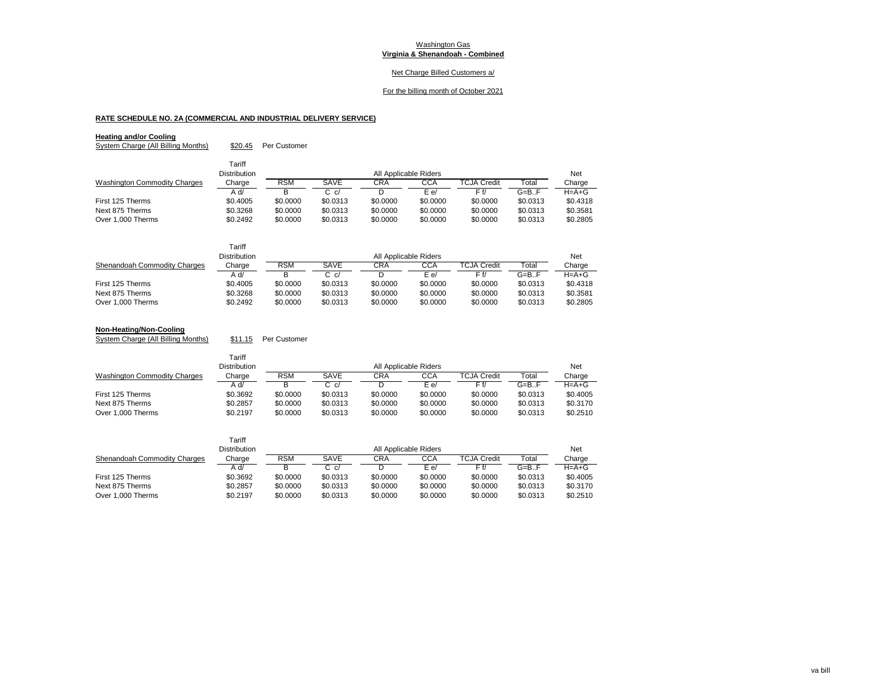## Net Charge Billed Customers a/

#### For the billing month of October 2021

# **RATE SCHEDULE NO. 2A (COMMERCIAL AND INDUSTRIAL DELIVERY SERVICE)**

## **Heating and/or Cooling**

System Charge (All Billing Months) \$20.45 Per Customer

|                                     | Tariff              |            |          |                       |            |                    |                 |             |
|-------------------------------------|---------------------|------------|----------|-----------------------|------------|--------------------|-----------------|-------------|
|                                     | <b>Distribution</b> |            |          | All Applicable Riders |            |                    |                 | Net         |
| <b>Washington Commodity Charges</b> | Charge              | <b>RSM</b> | SAVE     | CRA                   | <b>CCA</b> | <b>TCJA Credit</b> | Total           | Charge      |
|                                     | A d/                | в          | C c/     |                       | E e/       | F f/               | $G = B \cdot F$ | $H = A + G$ |
| First 125 Therms                    | \$0.4005            | \$0,0000   | \$0.0313 | \$0,0000              | \$0.0000   | \$0,0000           | \$0.0313        | \$0.4318    |
| Next 875 Therms                     | \$0.3268            | \$0,0000   | \$0.0313 | \$0,0000              | \$0.0000   | \$0,0000           | \$0.0313        | \$0.3581    |
| Over 1,000 Therms                   | \$0.2492            | \$0,0000   | \$0.0313 | \$0,0000              | \$0.0000   | \$0,0000           | \$0.0313        | \$0.2805    |

|                              | Tariff<br><b>Distribution</b> |          |          | All Applicable Riders |          |                    |          | <b>Net</b>  |
|------------------------------|-------------------------------|----------|----------|-----------------------|----------|--------------------|----------|-------------|
| Shenandoah Commodity Charges | Charge                        | RSM      | SAVE     | CRA                   | CCA      | <b>TCJA Credit</b> | Total    | Charge      |
|                              | A d/                          |          | r. d     |                       | E e/     |                    | G=B.F    | $H = A + G$ |
| First 125 Therms             | \$0.4005                      | \$0,0000 | \$0.0313 | \$0,0000              | \$0,0000 | \$0,0000           | \$0.0313 | \$0.4318    |
| Next 875 Therms              | \$0.3268                      | \$0,0000 | \$0.0313 | \$0,0000              | \$0,0000 | \$0,0000           | \$0.0313 | \$0.3581    |
| Over 1,000 Therms            | \$0.2492                      | \$0,0000 | \$0.0313 | \$0,0000              | \$0,0000 | \$0.0000           | \$0.0313 | \$0.2805    |

#### **Non-Heating/Non-Cooling**

System Charge (All Billing Months) \$11.15 Per Customer

|                                     | Tariff<br><b>Distribution</b> |          |          | All Applicable Riders |          |                    |                 | Net      |
|-------------------------------------|-------------------------------|----------|----------|-----------------------|----------|--------------------|-----------------|----------|
| <b>Washington Commodity Charges</b> | Charge                        | RSM      | SAVE     | CRA                   | CCA      | <b>TCJA Credit</b> | Total           | Charge   |
|                                     | A d/                          |          | C c/     |                       | E e/     | F f/               | $G = B \cdot F$ | $H=A+G$  |
| First 125 Therms                    | \$0.3692                      | \$0,0000 | \$0.0313 | \$0,0000              | \$0,0000 | \$0,0000           | \$0.0313        | \$0,4005 |
| Next 875 Therms                     | \$0.2857                      | \$0,0000 | \$0.0313 | \$0,0000              | \$0,0000 | \$0,0000           | \$0.0313        | \$0.3170 |
| Over 1.000 Therms                   | \$0.2197                      | \$0.0000 | \$0.0313 | \$0,0000              | \$0,0000 | \$0,0000           | \$0.0313        | \$0.2510 |

|                              | Tariff              |            |          |                       |          |                    |                 |             |
|------------------------------|---------------------|------------|----------|-----------------------|----------|--------------------|-----------------|-------------|
|                              | <b>Distribution</b> |            |          | All Applicable Riders |          |                    |                 | Net         |
| Shenandoah Commodity Charges | Charge              | <b>RSM</b> | SAVE     | CRA                   | CCA      | <b>TCJA Credit</b> | Total           | Charge      |
|                              | A d/                |            | C c/     |                       | E e/     | F f/               | $G = B \cdot F$ | $H = A + G$ |
| First 125 Therms             | \$0.3692            | \$0,0000   | \$0.0313 | \$0,0000              | \$0,0000 | \$0,0000           | \$0.0313        | \$0,4005    |
| Next 875 Therms              | \$0.2857            | \$0,0000   | \$0.0313 | \$0,0000              | \$0,0000 | \$0,0000           | \$0.0313        | \$0.3170    |
| Over 1.000 Therms            | \$0.2197            | \$0,0000   | \$0.0313 | \$0.0000              | \$0,0000 | \$0,0000           | \$0.0313        | \$0.2510    |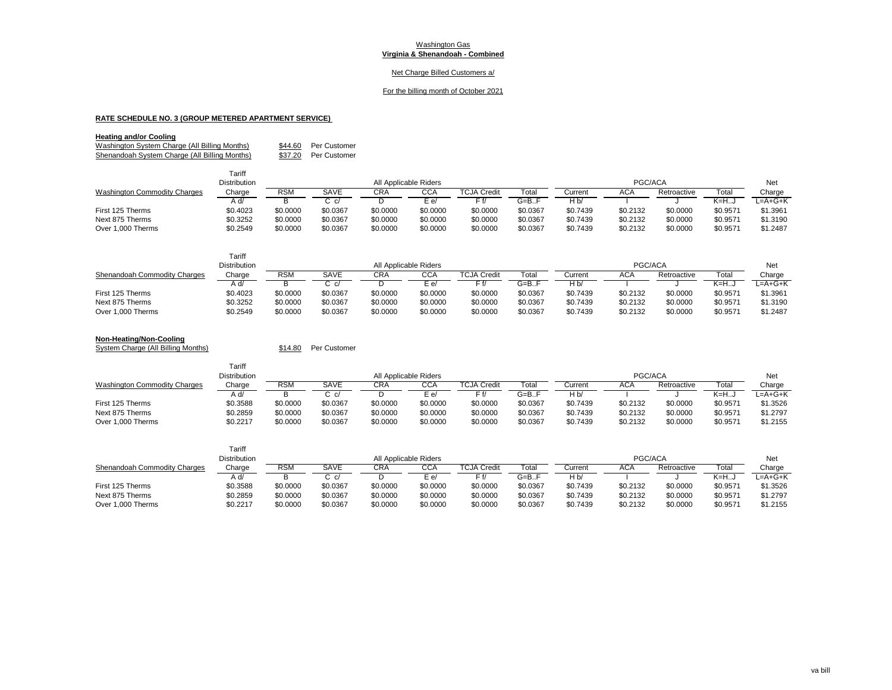## Net Charge Billed Customers a/

#### For the billing month of October 2021

# **RATE SCHEDULE NO. 3 (GROUP METERED APARTMENT SERVICE)**

## **Heating and/or Cooling**

Washington System Charge (All Billing Months) \$44.60 Per Customer<br>
Shenandoah System Charge (All Billing Months) \$37.20 Per Customer Shenandoah System Charge (All Billing Months)

 $T = 16$ 

|                                     | Tariff              |            |          |                       |          |                    |                 |          |          |             |          |          |
|-------------------------------------|---------------------|------------|----------|-----------------------|----------|--------------------|-----------------|----------|----------|-------------|----------|----------|
|                                     | <b>Distribution</b> |            |          | All Applicable Riders |          |                    |                 |          | PGC/ACA  |             |          | Net      |
| <b>Washington Commodity Charges</b> | Charge              | <b>RSM</b> | SAVE     | CRA                   | CCA      | <b>TCJA Credit</b> | Total           | Current  | ACA      | Retroactive | Total    | Charge   |
|                                     | A d/                |            | C c/     |                       | E e/     | Ff/                | $G = B \dots F$ | H b      |          |             | $K=HJ$   | L=A+G+K  |
| First 125 Therms                    | \$0.4023            | \$0.0000   | \$0.0367 | \$0.0000              | \$0.0000 | \$0.0000           | \$0.0367        | \$0.7439 | \$0.2132 | \$0.0000    | \$0.9571 | \$1.3961 |
| Next 875 Therms                     | \$0.3252            | \$0,0000   | \$0.0367 | \$0.0000              | \$0,0000 | \$0.0000           | \$0.0367        | \$0.7439 | \$0.2132 | \$0.0000    | \$0.9571 | \$1,3190 |
| Over 1,000 Therms                   | \$0.2549            | \$0.0000   | \$0.0367 | \$0.0000              | \$0.0000 | \$0.0000           | \$0.0367        | \$0.7439 | \$0.2132 | \$0.0000    | \$0.9571 | \$1.2487 |

|                              | Tariff              |          |          |                       |          |                         |                 |                |          |             |          |          |
|------------------------------|---------------------|----------|----------|-----------------------|----------|-------------------------|-----------------|----------------|----------|-------------|----------|----------|
|                              | <b>Distribution</b> |          |          | All Applicable Riders |          |                         |                 |                | PGC/ACA  |             |          | Net      |
| Shenandoah Commodity Charges | Charge              | RSM      | SAVE     | CRA                   | CCA      | TCJA Credi <sup>.</sup> | Total           | Current        | ACA      | Retroactive | Total    | Charge   |
|                              | A d                 | в        | C c/     |                       | E e/     | Ff/                     | $G = B \dots F$ | H <sub>b</sub> |          |             | $K=HJ$   | L=A+G+K  |
| First 125 Therms             | \$0.4023            | \$0.0000 | \$0.0367 | \$0.0000              | \$0.0000 | \$0.0000                | \$0.0367        | \$0.7439       | \$0.2132 | \$0,0000    | \$0.9571 | \$1.3961 |
| Next 875 Therms              | \$0.3252            | \$0.0000 | \$0.0367 | \$0.0000              | \$0.0000 | \$0.0000                | \$0.0367        | \$0.7439       | \$0.2132 | \$0,0000    | \$0.9571 | \$1,3190 |
| Over 1,000 Therms            | \$0.2549            | \$0.0000 | \$0.0367 | \$0.0000              | \$0.0000 | \$0.0000                | \$0.0367        | \$0.7439       | \$0.2132 | \$0.0000    | \$0.9571 | \$1.2487 |

## **Non-Heating/Non-Cooling**

System Charge (All Billing Months) \$14.80 Per Customer

| <b>Distribution</b> |            | All Applicable Riders |            |          |                    |          | PGC/ACA  |          |             |          | Net      |
|---------------------|------------|-----------------------|------------|----------|--------------------|----------|----------|----------|-------------|----------|----------|
| Charge              | <b>RSM</b> | SAVE                  | <b>CRA</b> | CCA      | <b>TCJA Credit</b> | Total    | Current  | ACA      | Retroactive | Total    | Charge   |
| A d/                |            |                       |            | E e/     | F f/               | G=BF     | Hb       |          |             | K=H…J    | ∟=A+G+K  |
| \$0.3588            | \$0.0000   | \$0.0367              | \$0.0000   | \$0.0000 | \$0.0000           | \$0.0367 | \$0.7439 | \$0.2132 | \$0,0000    | \$0.9571 | \$1.3526 |
| \$0.2859            | \$0.0000   | \$0.0367              | \$0.0000   | \$0.0000 | \$0.0000           | \$0.0367 | \$0.7439 | \$0.2132 | \$0.0000    | \$0.9571 | \$1.2797 |
| \$0.2217            | \$0.0000   | \$0.0367              | \$0.0000   | \$0.0000 | \$0.0000           | \$0.0367 | \$0.7439 | \$0.2132 | \$0,0000    | \$0.9571 | \$1.2155 |
|                     | тапп       |                       |            |          |                    |          |          |          |             |          |          |

|                              | Tariff              |          |                       |          |          |             |                 |          |          |             |          |           |
|------------------------------|---------------------|----------|-----------------------|----------|----------|-------------|-----------------|----------|----------|-------------|----------|-----------|
|                              | <b>Distribution</b> |          | All Applicable Riders |          |          |             |                 | PGC/ACA  |          |             |          | Net       |
| Shenandoah Commodity Charges | Charge              | RSM      | SAVE                  | CRA      | CCA      | TCJA Credit | Гоtal           | Current  | ACA      | Retroactive | Total    | Charge    |
|                              | A d/                |          |                       |          | $E$ e/   | $F f$ /     | $G = B \cdot F$ | H b      |          |             | $K=H$    | $L=A+G+K$ |
| First 125 Therms             | \$0.3588            | \$0.0000 | \$0.0367              | \$0.0000 | \$0.0000 | \$0.0000    | \$0.0367        | \$0.7439 | \$0.2132 | \$0.0000    | \$0.9571 | \$1.3526  |
| Next 875 Therms              | \$0.2859            | \$0.0000 | \$0.0367              | \$0.0000 | \$0.0000 | \$0.0000    | \$0.0367        | \$0.7439 | \$0.2132 | \$0.0000    | \$0.9571 | \$1.2797  |
| Over 1.000 Therms            | \$0.2217            | \$0.0000 | \$0.0367              | \$0.0000 | \$0.0000 | \$0.0000    | \$0.0367        | \$0.7439 | \$0.2132 | \$0.0000    | \$0.9571 | \$1.2155  |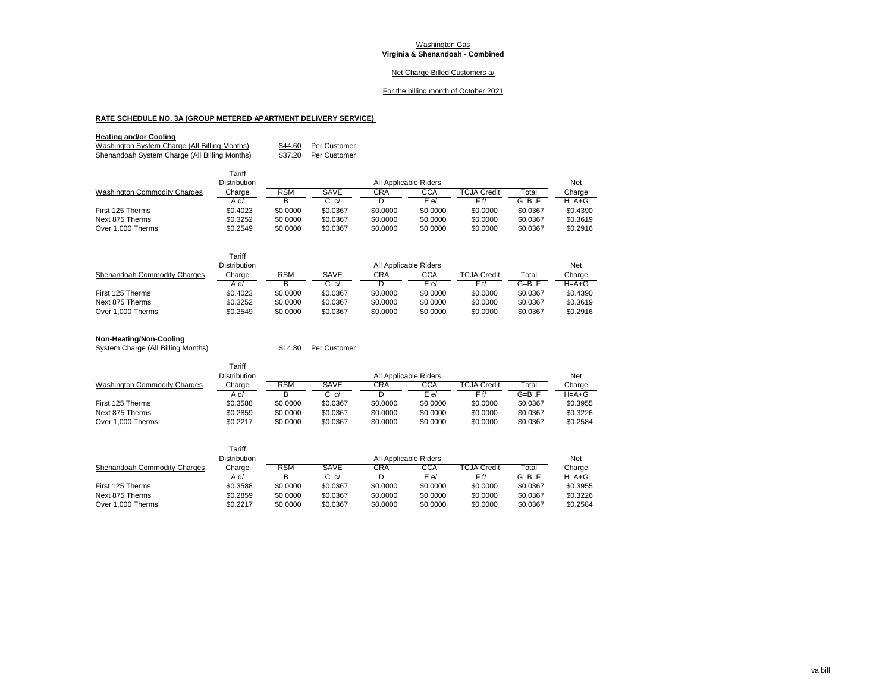## Net Charge Billed Customers a/

#### For the billing month of October 2021

# **RATE SCHEDULE NO. 3A (GROUP METERED APARTMENT DELIVERY SERVICE)**

 $T = 16$ 

## **Heating and/or Cooling**

Washington System Charge (All Billing Months) \$44.60 Per Customer<br>
Shenandoah System Charge (All Billing Months) \$37.20 Per Customer Shenandoah System Charge (All Billing Months)

|                                     | Tariff       |            |          |                       |            |             |                 |             |
|-------------------------------------|--------------|------------|----------|-----------------------|------------|-------------|-----------------|-------------|
|                                     | Distribution |            |          | All Applicable Riders |            |             |                 | Net         |
| <b>Washington Commodity Charges</b> | Charge       | <b>RSM</b> | SAVE     | <b>CRA</b>            | <b>CCA</b> | TCJA Credit | Total           | Charge      |
|                                     | /A A         | в          | C c/     |                       | E e/       | F f/        | $G = B \cdot F$ | $H = A + G$ |
| First 125 Therms                    | \$0.4023     | \$0,0000   | \$0.0367 | \$0,0000              | \$0,0000   | \$0.0000    | \$0.0367        | \$0.4390    |
| Next 875 Therms                     | \$0.3252     | \$0,0000   | \$0.0367 | \$0,0000              | \$0,0000   | \$0,0000    | \$0.0367        | \$0.3619    |
| Over 1,000 Therms                   | \$0.2549     | \$0,0000   | \$0.0367 | \$0,0000              | \$0,0000   | \$0.0000    | \$0.0367        | \$0.2916    |

|                                      | Tariff<br><b>Distribution</b> |                      |                      | All Applicable Riders |                      |                      |                      | <b>Net</b>           |
|--------------------------------------|-------------------------------|----------------------|----------------------|-----------------------|----------------------|----------------------|----------------------|----------------------|
| Shenandoah Commodity Charges         | Charge                        | <b>RSM</b>           | SAVE                 | CRA                   | CCA                  | TCJA Credit          | Total                | Charge               |
|                                      | A d/                          | в                    | $C_{c}/c$            |                       | E e/                 | Ff/                  | $G = B \cdot F$      | $H = A + G$          |
| First 125 Therms                     | \$0.4023                      | \$0,0000             | \$0.0367             | \$0,0000              | \$0,0000             | \$0,0000             | \$0.0367             | \$0.4390             |
| Next 875 Therms<br>Over 1,000 Therms | \$0.3252<br>\$0.2549          | \$0,0000<br>\$0,0000 | \$0.0367<br>\$0.0367 | \$0,0000<br>\$0,0000  | \$0.0000<br>\$0,0000 | \$0,0000<br>\$0,0000 | \$0.0367<br>\$0.0367 | \$0.3619<br>\$0.2916 |

| Non-Heating/Non-Cooling |  |
|-------------------------|--|

System Charge (All Billing Months)  $$14.80$  Per Customer

|                                     | lallll<br>Distribution |            |          |                       |            |                    |          |             |
|-------------------------------------|------------------------|------------|----------|-----------------------|------------|--------------------|----------|-------------|
|                                     |                        |            |          | All Applicable Riders |            |                    |          | Net         |
| <b>Washington Commodity Charges</b> | Charge                 | <b>RSM</b> | SAVE     | CRA                   | <b>CCA</b> | <b>TCJA Credit</b> | Total    | Charge      |
|                                     | A d/                   |            | C c/     |                       | E e/       |                    | G=B.F    | $H = A + G$ |
| First 125 Therms                    | \$0.3588               | \$0,0000   | \$0.0367 | \$0.0000              | \$0.0000   | \$0.0000           | \$0.0367 | \$0.3955    |
| Next 875 Therms                     | \$0.2859               | \$0,0000   | \$0.0367 | \$0.0000              | \$0.0000   | \$0.0000           | \$0.0367 | \$0.3226    |
| Over 1,000 Therms                   | \$0.2217               | \$0,0000   | \$0.0367 | \$0.0000              | \$0.0000   | \$0.0000           | \$0.0367 | \$0.2584    |

|                              | Tariff<br>Distribution |          |          | All Applicable Riders |          |             |                 | Net         |
|------------------------------|------------------------|----------|----------|-----------------------|----------|-------------|-----------------|-------------|
| Shenandoah Commodity Charges | Charge                 | RSM      | SAVE     | CRA                   | CCA      | TCJA Credit | Гоtal           | Charge      |
|                              | A d/                   |          | C c/     |                       | E e/     | F f/        | $G = B \cdot F$ | $H = A + G$ |
| First 125 Therms             | \$0.3588               | \$0,0000 | \$0.0367 | \$0,0000              | \$0.0000 | \$0,0000    | \$0.0367        | \$0.3955    |
| Next 875 Therms              | \$0.2859               | \$0,0000 | \$0.0367 | \$0,0000              | \$0.0000 | \$0,0000    | \$0.0367        | \$0.3226    |
| Over 1,000 Therms            | \$0.2217               | \$0.0000 | \$0.0367 | \$0,0000              | \$0.0000 | \$0,0000    | \$0.0367        | \$0.2584    |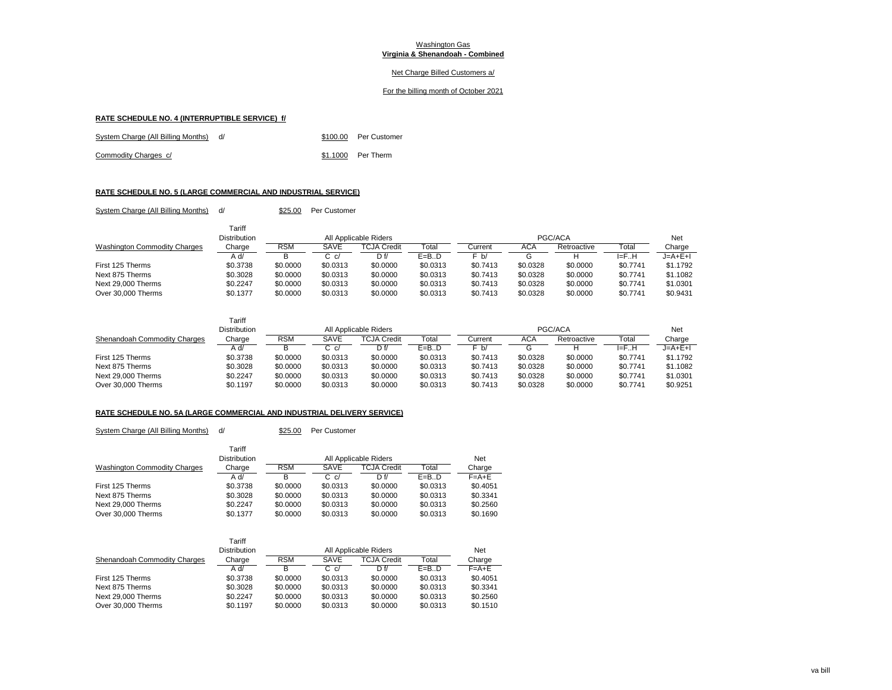## Net Charge Billed Customers a/

## For the billing month of October 2021

#### **RATE SCHEDULE NO. 4 (INTERRUPTIBLE SERVICE) f/**

| System Charge (All Billing Months) d/ |  | \$100.00 Per Customer |
|---------------------------------------|--|-----------------------|
| Commodity Charges c/                  |  | \$1.1000 Per Therm    |

# **RATE SCHEDULE NO. 5 (LARGE COMMERCIAL AND INDUSTRIAL SERVICE)** System Charge (All Billing Months) d/ \$25.00 Per Customer

|                                     | Tariff              |            |          |                       |          |          |            |             |           |          |
|-------------------------------------|---------------------|------------|----------|-----------------------|----------|----------|------------|-------------|-----------|----------|
|                                     | <b>Distribution</b> |            |          | All Applicable Riders |          |          |            | PGC/ACA     |           | Net      |
| <b>Washington Commodity Charges</b> | Charge              | <b>RSM</b> | SAVE     | <b>TCJA Credit</b>    | Total    | Current  | <b>ACA</b> | Retroactive | Total     | Charge   |
|                                     | A d/                |            | C c/     | D f/                  | $E=B.D$  | F b/     | G          |             | $I = F.H$ | J=A+E+I  |
| First 125 Therms                    | \$0.3738            | \$0,0000   | \$0.0313 | \$0,0000              | \$0.0313 | \$0.7413 | \$0.0328   | \$0,0000    | \$0.7741  | \$1,1792 |
| Next 875 Therms                     | \$0.3028            | \$0,0000   | \$0.0313 | \$0.0000              | \$0.0313 | \$0.7413 | \$0.0328   | \$0,0000    | \$0.7741  | \$1.1082 |
| Next 29,000 Therms                  | \$0.2247            | \$0.0000   | \$0.0313 | \$0.0000              | \$0.0313 | \$0.7413 | \$0.0328   | \$0.0000    | \$0.7741  | \$1.0301 |
| Over 30,000 Therms                  | \$0.1377            | \$0.0000   | \$0.0313 | \$0,0000              | \$0.0313 | \$0.7413 | \$0.0328   | \$0,0000    | \$0.7741  | \$0.9431 |

|                              | Tariff<br>Distribution |            |          | All Applicable Riders |          |          |            | PGC/ACA     |           | Net      |
|------------------------------|------------------------|------------|----------|-----------------------|----------|----------|------------|-------------|-----------|----------|
| Shenandoah Commodity Charges | Charge                 | <b>RSM</b> | SAVE     | <b>TCJA Credit</b>    | Total    | Current  | <b>ACA</b> | Retroactive | Total     | Charge   |
|                              | A d/                   |            | C c/     | Df/                   | $E=B.D$  | F b/     |            |             | $I = F.H$ | J=A+E+I  |
| First 125 Therms             | \$0.3738               | \$0,0000   | \$0.0313 | \$0.0000              | \$0.0313 | \$0.7413 | \$0.0328   | \$0,0000    | \$0.7741  | \$1,1792 |
| Next 875 Therms              | \$0.3028               | \$0,0000   | \$0.0313 | \$0.0000              | \$0.0313 | \$0.7413 | \$0.0328   | \$0,0000    | \$0.7741  | \$1.1082 |
| Next 29,000 Therms           | \$0.2247               | \$0,0000   | \$0.0313 | \$0.0000              | \$0.0313 | \$0.7413 | \$0.0328   | \$0,0000    | \$0.7741  | \$1.0301 |
| Over 30,000 Therms           | \$0.1197               | \$0,0000   | \$0.0313 | \$0.0000              | \$0.0313 | \$0.7413 | \$0.0328   | \$0,0000    | \$0.7741  | \$0.9251 |

## **RATE SCHEDULE NO. 5A (LARGE COMMERCIAL AND INDUSTRIAL DELIVERY SERVICE)**

System Charge (All Billing Months) d/ \$25.00 Per Customer

|                                     | Tariff       |            |           |                    |          |             |
|-------------------------------------|--------------|------------|-----------|--------------------|----------|-------------|
|                                     | Distribution |            | Net       |                    |          |             |
| <b>Washington Commodity Charges</b> | Charge       | <b>RSM</b> | SAVE      | <b>TCJA Credit</b> | Total    | Charge      |
|                                     | A d/         | в          | $C_{c}/c$ | D f/               | $E=B.D$  | $F = A + E$ |
| First 125 Therms                    | \$0.3738     | \$0,0000   | \$0.0313  | \$0,0000           | \$0.0313 | \$0.4051    |
| Next 875 Therms                     | \$0.3028     | \$0,0000   | \$0.0313  | \$0,0000           | \$0.0313 | \$0.3341    |
| Next 29,000 Therms                  | \$0.2247     | \$0,0000   | \$0.0313  | \$0,0000           | \$0.0313 | \$0.2560    |
| Over 30,000 Therms                  | \$0.1377     | \$0,0000   | \$0.0313  | \$0,0000           | \$0.0313 | \$0.1690    |

|                              | Tariff<br><b>Distribution</b> |            |          | All Applicable Riders |          | Net         |
|------------------------------|-------------------------------|------------|----------|-----------------------|----------|-------------|
|                              |                               |            |          |                       |          |             |
| Shenandoah Commodity Charges | Charge                        | <b>RSM</b> | SAVE     | <b>TCJA Credit</b>    | Total    | Charge      |
|                              | A d/                          | B          | C c/     | Df/                   | $E=B.D$  | $F = A + E$ |
| First 125 Therms             | \$0.3738                      | \$0,0000   | \$0.0313 | \$0,0000              | \$0.0313 | \$0.4051    |
| Next 875 Therms              | \$0.3028                      | \$0,0000   | \$0.0313 | \$0,0000              | \$0.0313 | \$0.3341    |
| Next 29,000 Therms           | \$0.2247                      | \$0,0000   | \$0.0313 | \$0,0000              | \$0.0313 | \$0.2560    |
| Over 30,000 Therms           | \$0.1197                      | \$0,0000   | \$0.0313 | \$0,0000              | \$0.0313 | \$0.1510    |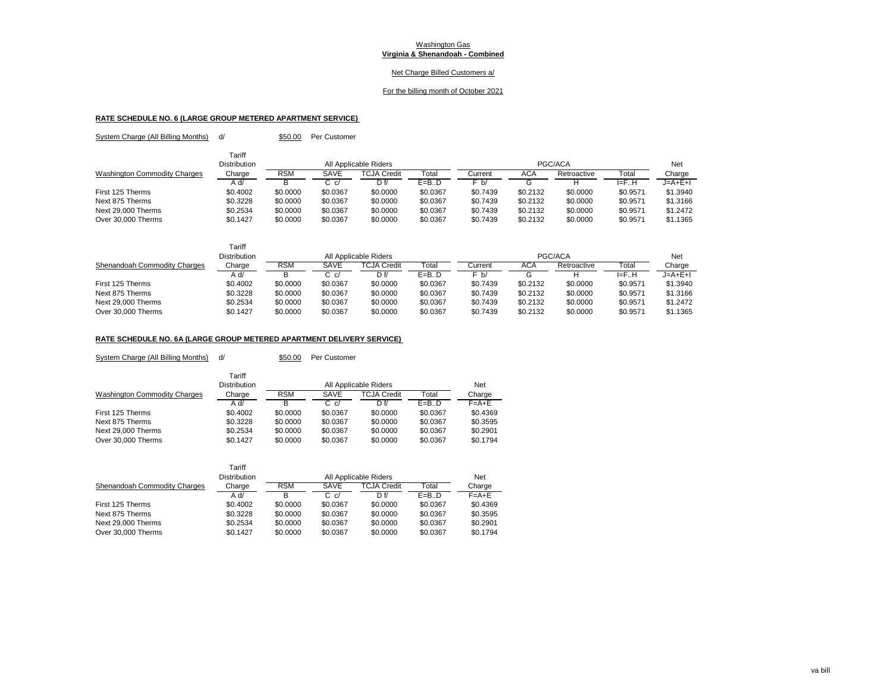## Net Charge Billed Customers a/

#### For the billing month of October 2021

# **RATE SCHEDULE NO. 6 (LARGE GROUP METERED APARTMENT SERVICE)**  System Charge (All Billing Months) d/ \$50.00 Per Customer

|                                     | Tariff<br><b>Distribution</b> |            |          | All Applicable Riders |          |          |          | PGC/ACA     |          | Net      |
|-------------------------------------|-------------------------------|------------|----------|-----------------------|----------|----------|----------|-------------|----------|----------|
| <b>Washington Commodity Charges</b> | Charge                        | <b>RSM</b> | SAVE     | <b>TCJA Credit</b>    | Total    | Current  | ACA      | Retroactive | Total    | Charge   |
|                                     | Ad/                           |            | C c/     | Df/                   | $E=B.D$  | F b/     | G        |             | F.H      | J=A+E+I  |
| First 125 Therms                    | \$0.4002                      | \$0,0000   | \$0.0367 | \$0,0000              | \$0.0367 | \$0.7439 | \$0.2132 | \$0,0000    | \$0.9571 | \$1,3940 |
| Next 875 Therms                     | \$0.3228                      | \$0,0000   | \$0.0367 | \$0.0000              | \$0.0367 | \$0.7439 | \$0.2132 | \$0,0000    | \$0.9571 | \$1.3166 |
| Next 29,000 Therms                  | \$0.2534                      | \$0,0000   | \$0.0367 | \$0,0000              | \$0.0367 | \$0.7439 | \$0.2132 | \$0,0000    | \$0.9571 | \$1,2472 |
| Over 30,000 Therms                  | \$0.1427                      | \$0.0000   | \$0.0367 | \$0.0000              | \$0.0367 | \$0.7439 | \$0.2132 | \$0,0000    | \$0.9571 | \$1.1365 |

|                              | Tariff<br><b>Distribution</b> |            |          | All Applicable Riders |          |          |          | PGC/ACA     |          | Net       |
|------------------------------|-------------------------------|------------|----------|-----------------------|----------|----------|----------|-------------|----------|-----------|
| Shenandoah Commodity Charges | Charge                        | <b>RSM</b> | SAVE     | <b>TCJA Credit</b>    | Total    | Current  | ACA      | Retroactive | Total    | Charge    |
|                              | A d/                          |            | C c/     | D f/                  | $E=B.D$  | F b/     |          |             | l≡FH     | $J=A+E+I$ |
| First 125 Therms             | \$0.4002                      | \$0,0000   | \$0.0367 | \$0,0000              | \$0.0367 | \$0.7439 | \$0.2132 | \$0.0000    | \$0.9571 | \$1,3940  |
| Next 875 Therms              | \$0.3228                      | \$0,0000   | \$0.0367 | \$0.0000              | \$0.0367 | \$0.7439 | \$0.2132 | \$0,0000    | \$0.9571 | \$1,3166  |
| Next 29,000 Therms           | \$0.2534                      | \$0,0000   | \$0.0367 | \$0.0000              | \$0.0367 | \$0.7439 | \$0.2132 | \$0,0000    | \$0.9571 | \$1,2472  |
| Over 30,000 Therms           | \$0.1427                      | \$0.0000   | \$0.0367 | \$0.0000              | \$0.0367 | \$0.7439 | \$0.2132 | \$0.0000    | \$0.9571 | \$1.1365  |

## **RATE SCHEDULE NO. 6A (LARGE GROUP METERED APARTMENT DELIVERY SERVICE)**

System Charge (All Billing Months) d/ \$50.00 Per Customer

|                                     | Tariff<br><b>Distribution</b> |            |          | All Applicable Riders |          | Net         |
|-------------------------------------|-------------------------------|------------|----------|-----------------------|----------|-------------|
| <b>Washington Commodity Charges</b> | Charge                        | <b>RSM</b> | SAVE     | TCJA Credit           | Total    | Charge      |
|                                     | A d/                          | в          | $C_{cl}$ | D f/                  | $E=B.D$  | $F = A + E$ |
| First 125 Therms                    | \$0.4002                      | \$0,0000   | \$0.0367 | \$0,0000              | \$0.0367 | \$0.4369    |
| Next 875 Therms                     | \$0.3228                      | \$0,0000   | \$0.0367 | \$0,0000              | \$0.0367 | \$0.3595    |
| Next 29,000 Therms                  | \$0.2534                      | \$0,0000   | \$0.0367 | \$0,0000              | \$0.0367 | \$0.2901    |
| Over 30,000 Therms                  | \$0.1427                      | \$0,0000   | \$0.0367 | \$0,0000              | \$0.0367 | \$0.1794    |

|                              | Tariff<br><b>Distribution</b> |            |           | All Applicable Riders |          | Net         |
|------------------------------|-------------------------------|------------|-----------|-----------------------|----------|-------------|
| Shenandoah Commodity Charges | Charge                        | <b>RSM</b> | SAVE      | <b>TCJA Credit</b>    | Total    | Charge      |
|                              | A d/                          | в          | $C_{c}/c$ | Df/                   | $E=B.D$  | $F = A + E$ |
| First 125 Therms             | \$0.4002                      | \$0,0000   | \$0.0367  | \$0,0000              | \$0.0367 | \$0.4369    |
| Next 875 Therms              | \$0.3228                      | \$0,0000   | \$0.0367  | \$0,0000              | \$0.0367 | \$0.3595    |
| Next 29,000 Therms           | \$0.2534                      | \$0,0000   | \$0.0367  | \$0,0000              | \$0.0367 | \$0.2901    |
| Over 30,000 Therms           | \$0.1427                      | \$0,0000   | \$0.0367  | \$0,0000              | \$0.0367 | \$0.1794    |